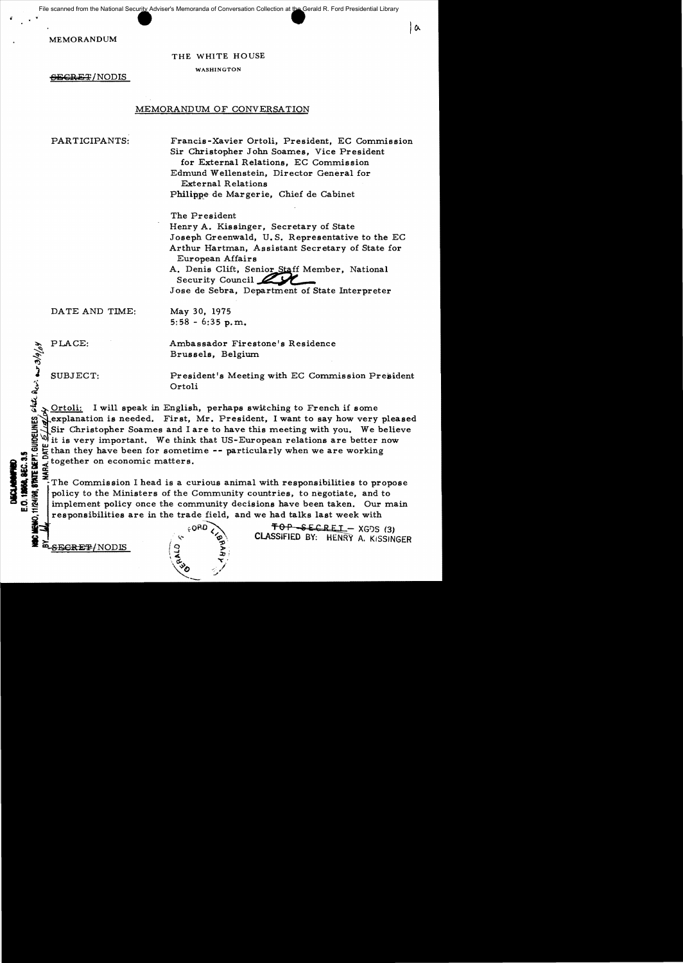File scanned from the National Security Adviser's Memoranda of Conversation Collection at the Gerald R. Ford Presidential Library

MEMORANDUM

# THE WHITE HOUSE

WASHINGTON

<del>SECRET</del>/NODIS

# MEMORANDUM OF CONVERSATION

PARTICIPANTS: Francis-Xavier Ortoli, President, EC Commission Sir Christopher John Soames, Vice President for External Relations, EC Commission Edmund Wellenstein, Director General for External Relations Philippe de Margerie, Chief de Cabinet

| a

The President Henry A. Kissinger, Secretary of State

Joseph Greenwald, U. S. Representative to the EC Arthur Hartman, Assistant Secretary of State for European Affairs

A. Denis Clift, Senior Staff Member, National Security Council 2

Jose de Sebra, Department of State Interpreter

DATE AND TIME: May 30, 1975

 $5:58 - 6:35$  p.m.

GUIDELINES, state Pers. aur 3/9/04

PLACE: Ambassador Firestone's Residence Brussels, Belgium

SUBJECT: President's Meeting with EC Commission President Ortoli

> Ortoli: I will speak in English, perhaps switching to French if some explanation is needed. First, Mr. President, I want to say how very pleased Sir Christopher Soames and I are to have this meeting with you. We believe it is very important. We think that US-European relations are better now Let than they have been for sometime -- particularly when we are working<br>  $\frac{1}{2}$  together on economic matters.<br>  $\frac{1}{2}$ <br>  $\frac{1}{2}$  The Commission I head is a curious animal with responsibilities to pro

 $\sum_{n=1}^{\infty} \frac{1}{n} \sum_{n=1}^{\infty} \frac{1}{n}$  together on economic matters.<br>  $\sum_{n=1}^{\infty} \frac{1}{n} \sum_{n=1}^{\infty}$  The Commission I head is a curve  $\sum_{n=1}^{\infty} \frac{1}{n}$  policy to the Ministers of the Commission  $\sum_{n=1}^{\infty} \frac{1}{$ ilQ~ :fl! :a:The Commission I head is a curious animal with responsibilities to propose policy to the Ministers of the Community countries, to negotiate, and to implement policy once the community decisions have been taken. Our main W g responsibilities are in the trade.field, and we had talks last week with

EXPRESSIONS (2 %)  $\setminus \vec{a}, \qquad \quad \forall j$  $~\frac{1}{30}$ 

 $\begin{matrix} 1 & 0 & 0 & 0 \ 0 & 0 & 0 & 0 \end{matrix}$  . TOP SECRET - XGDS (3)<br>SECRET/NODIS (9)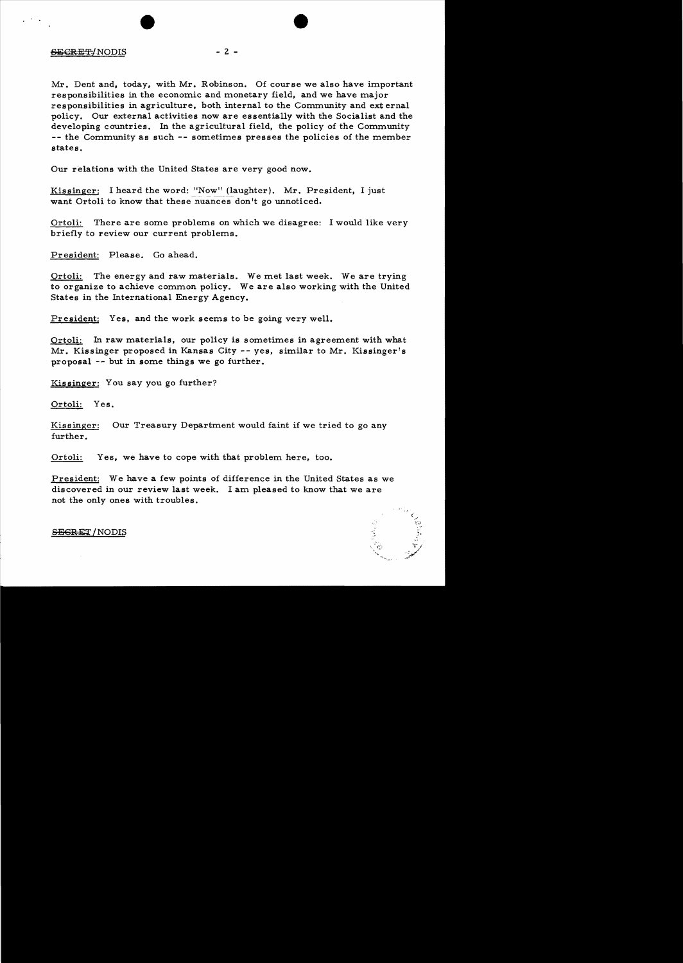# $-2 -$

Mr. Dent and, today, with Mr. Robinson. Of course we also have important responsibilities in the economic and monetary field, and we have major responsibilities in agriculture, both internal to the Community and ext ernal policy. Our external activities now are essentially with the Socialist and the developing countries. In the agricultural field, the policy of the Community  $--$  the Community as such  $--$  sometimes presses the policies of the member states.

Our relations with the United States are very good now.

Kissinger: I heard the word: "Now" (laughter). Mr. President, I just want Ortoli to know that these nuances don't go unnoticed.

Ortoli: There are some problems on which we disagree: I would like very briefly to review our current problems.

President: Please. Go ahead.

Ortoli: The energy and raw materials. We met last week. We are trying to organize to achieve common policy. We are also working with the United States in the International Energy Agency.

President: Yes, and the work seems to be going very well.

Ortoli: In raw materials, our policy is sometimes in agreement with what Mr. Kissinger proposed in Kansas City -- yes, similar to Mr. Kissinger's proposal -- but in some things we go further.

Kissinger: You say you go further?

Ortoli: Yes.

Kissinger: Our Treasury Department would faint if we tried to go any further.

Ortoli: Yes, we have to cope with that problem here, too.

President: We have a few points of difference in the United States as we discovered in our review last week. I am pleased to know that we are not the only ones with troubles.



#### SEGREX/NODIS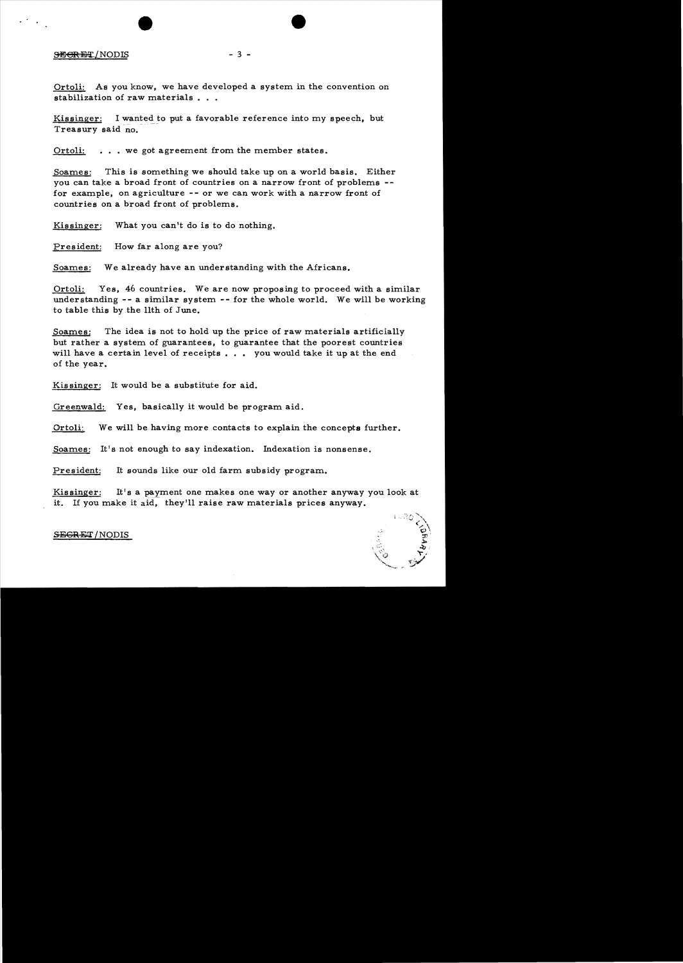#### **SECRET/NODIS**

 $\mathcal{L}(\mathcal{F})$  .  $\mathcal{L}(\mathcal{F})$ 

Ortoli: As you know, we have developed a system in the convention on stabilization of raw materials . . .

 $-3 -$ 

Kissinger: I wanted to put a favorable reference into my speech, but Treasury said no.

Ortoli: . . . we got agreement from the member states.

Soames: This is something we should take up on a world basis. Either you can take a broad front of countries on a narrow front of problems for example, on agriculture - - or we can work with a narrow front of countries on a broad front of problems.

Kissinger: What you can't do is to do nothing.

President: How far along are you?

Soames: We already have an understanding with the Africans.

Ortoli: Yes, 46 countries. We are now proposing to proceed with a similar understanding -- a similar system -- for the whole world. We will be working to table this by.the 11th of June.

Soames: The idea is not to hold up the price of raw materials artificially but rather a system of guarantees, to guarantee that the poorest countries will have a certain level of receipts . . . you would take it up at the end of the year.

Kissinger: It would be a substitute for aid.

Greenwald: Yes, basically it would be program aid.

Ortoli: We will be having more contacts to explain the concepts further.

Soames: It's not enough to say indexation. Indexation is nonsense.

President: It sounds like our old farm subsidy program.

Kissinger: It's a payment one makes one way or another anyway you look at it. If you make it aid, they'll raise raw materials prices anyway.

#### SEGRET/NODIS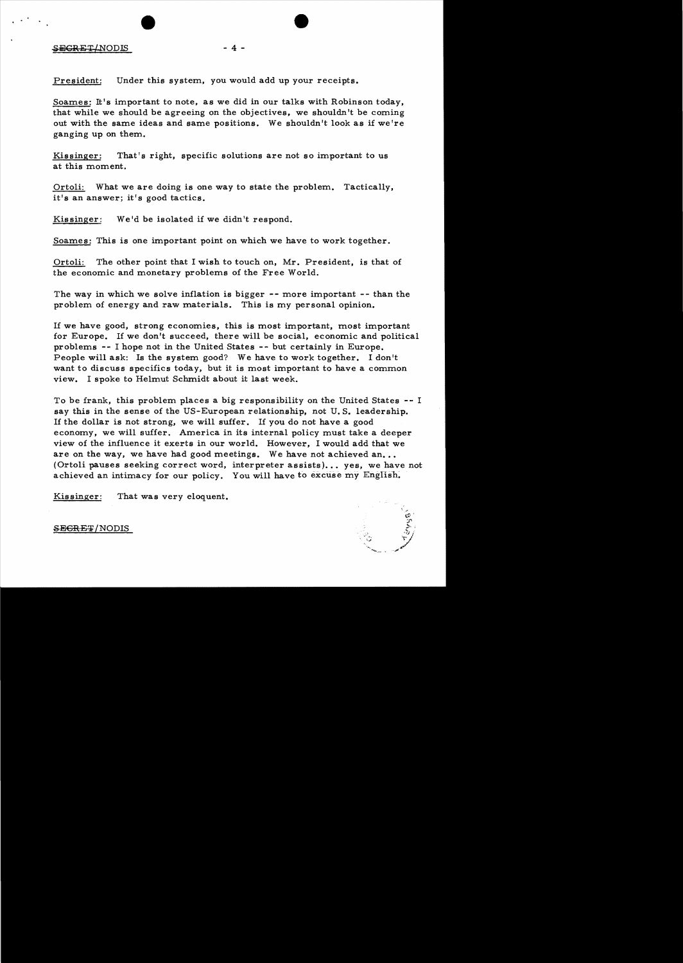### S<del>ECRET</del>/NODIS - 4 -

President: Under this system, you would add up your receipts.

Soames: It's important to note, as we did in our talks with Robinson today, that while we should be agreeing on the objectives, we shouldn't be coming out with the same ideas and same positions. We shouldn't look as if we're ganging up on them.

Kissinger: That's right, specific solutions are not so important to us at this moment.

Ortoli: What we are doing is one way to state the problem. Tactically, it's an answer; it's good tactics.

Kissinger: We'd be isolated if we didn't respond.

Soames: This is one important point on which we have to work together.

Ortoli: The other point that I wish to touch on, Mr. President, is that of the economic and monetary problems of the Free World.

The way in which we solve inflation is bigger -- more important -- than the problem of energy and raw materials. This is my personal opinion.

If we have good, strong economies, this is most important, most important for Europe. If we don't succeed, there will be social, economic and political problems - - I hope not in the United States - - but certainly in Europe. People will ask: Is the system good? We have to work together. I don't want to discuss specifics today, but it is most important to have a common view. I spoke to Helmut Schmidt about it last week.

To be frank, this problem places a big responsibility on the United States -- I say this in the sense of the US-European relationship, not U. S. leadership. If the dollar is not strong, we will suffer. If you do not have a good economy, we will suffer. America in its internal policy must take a deeper view of the influence it exerts in our world. However, I would add that we are on the way, we have had good meetings. We have not achieved an... (Ortoli pauses seeking correct word, interpreter assists)... yes, we have not achieved an intimacy for our policy. You will have to excuse my English.

Kissinger: That was very eloquent.



### SE<del>CRET</del>/NODIS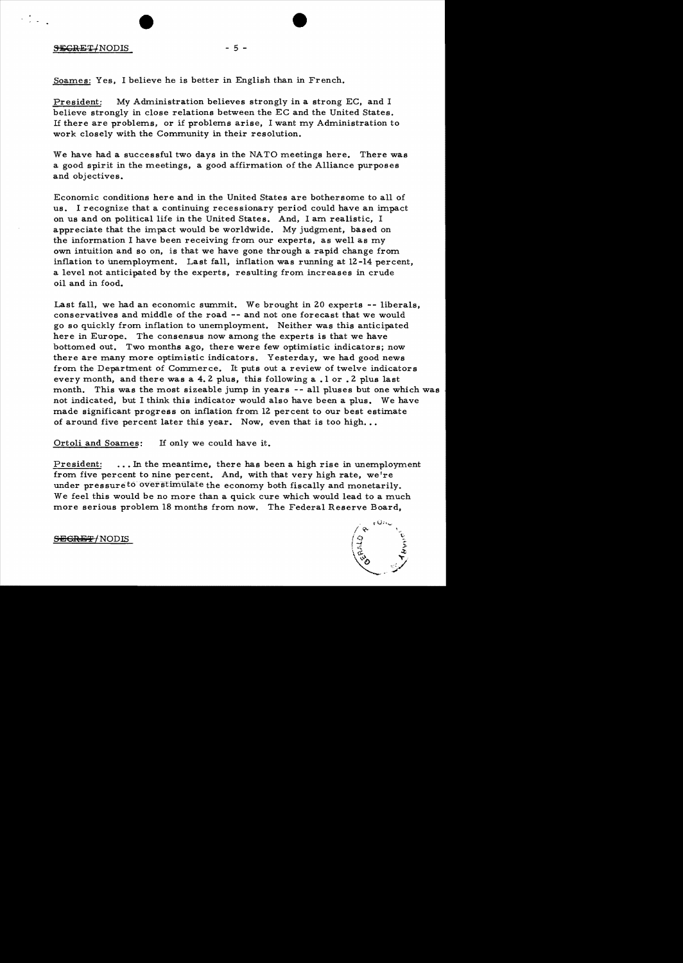### $SEGRET/NODIS$  - 5 -

Soames: Yes, I believe he is better in English than in French.

President: My Administration believes strongly in a strong EC, and I believe strongly in close relations between the EC and the United States. If there are problems, or if problems arise, I want my Administration to work closely with the Community in their resolution.

We have had a successful two days in the NATO meetings here. There was a good spirit in the meetings, a good affirmation of the Alliance purposes and objectives.

Economic conditions here and in the United States are bothersome to all of us. I recognize that a continuing recessionary period could have an impact on us and on political life in the United States. And, I am realistic, I appreciate that the impact would be worldwide. My judgment, based on the information I have been receiving from our experts, as well as my own intuition and so on, is that we have gone through a rapid change from inflation to unemployment. Last fall, inflation was running at  $12 - 14$  percent, a level not anticipated by the experts, resulting from increases in crude oil and in food.

Last fall, we had an economic summit. We brought in 20 experts -- liberals, conservatives and middle of the road -- and not one forecast that we would go so quickly from inflation to unemployment. Neither was this anticipated here in Europe. The consensus now among the experts is that we have bottomed out. Two months ago, there were few optimistic indicators; now there are many more optimistic indicators. Yesterday, we had good news from the Department of Commerce. It puts out a review of twelve indicators every month, and there was a 4.2 plus, this following a .1 or .2 plus last month. This was the most sizeable jump in years -- all pluses but one which was not indicated, but I think this indicator would also have been a plus. We have made significant progress on inflation from 12 percent to our best estimate of around five percent later this year. Now, even that is too high...

Ortoli and Soames: If only we could have it.

President: ... In the meantime, there has been a high rise in unemployment from five percent to nine percent. And, with that very high rate, we're under pressure to overstimulate the economy both fiscally and monetarily. We feel this would be no more than a quick cure which would lead to a much more serious problem 18 months from now. The Federal Reserve Board,



<del>SECRET/</del>NODIS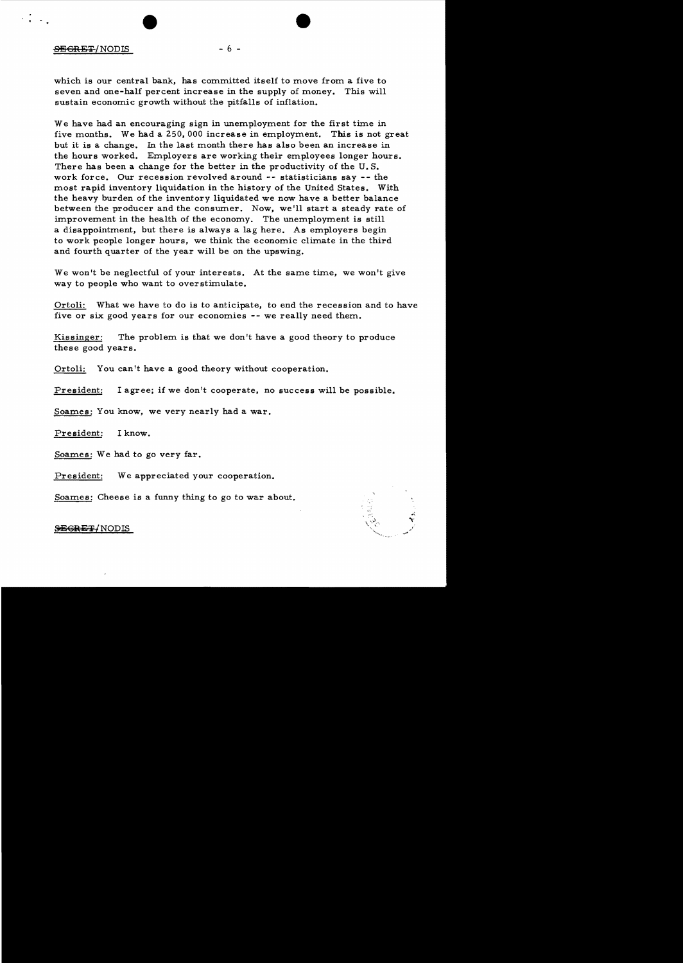# $\overline{\text{SEGRE}}$  /NODIS - 6 -

 $\cdot$  .  $\cdot$  .  $\cdot$ 

which is our central bank, has committed itself to move from a five to seven and one-half percent increase in the supply of money. This will sustain economic growth without the pitfalls of inflation.

We have had an encouraging sign in unemployment for the first time in five months. We had a 250,000 increase in employment. This is not great but it is a change. In the last month there has also been an increase in the hours worked. Employers are working their employees longer hours. There has been a change for the better in the productivity of the U. S. work force. Our recession revolved around -- statisticians say -- the most rapid inventory liquidation in the history of the United States. With the heavy burden of the inventory liquidated we now have a better balance between the producer and the consumer. Now, we'll start a steady rate of improvement in the health of the economy. The unemployment is still a disappointment, but there is always a lag here. As employers begin to work people longer hours, we think the economic climate in the third and fourth quarter of the year will be on the upswing.

We won't be neglectful of your interests. At the same time, we won't give way to people who want to overstimulate.

Ortoli: What we have to do is to anticipate, to end the recession and to have five or six good years for our economies -- we really need them.

Kissinger: The problem is that we don't have a good theory to produce these good years.

Ortoli: You can't have a good theory without cooperation.

President: I agree; if we don't cooperate, no success will be possible.

Soames: You know, we very nearly had a war.

President: I know.

Soames: We had to go very far.

President: We appreciated your cooperation.

Soames: Cheese is a funny thing to go to war about.

# **SEGRET/NODIS**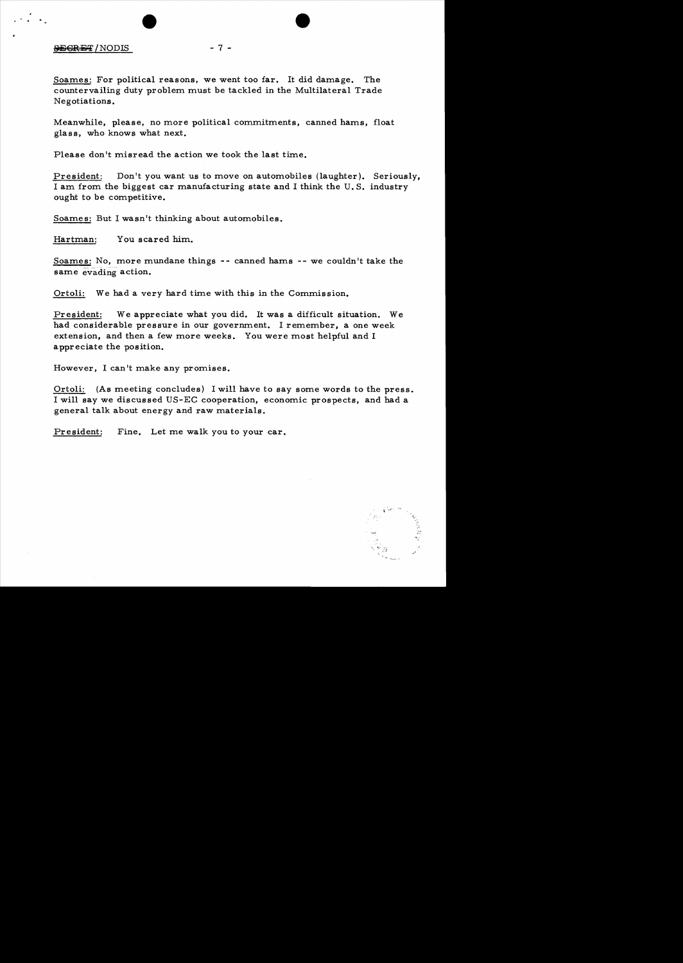# $-7 -$

Soames: For political reasons, we went too far. It did damage. The countervailing duty problem must be tackled in the Multilateral Trade Negotiations.

Meanwhile, please, no more political commitments, canned hams, float glass, who knows what next.

Please don't misread the action we took the last time.

President: Don't you want us to move on automobiles (laughter). Seriously, I am from the biggest car manufacturing state and I think the U. S. industry ought to be competitive.

Soames: But I wasn't thinking about automobiles.

Hartman: You scared him.

Soames: No, more mundane things -- canned hams -- we couldn't take the same evading action.

Ortoli: We had a very hard time with this in the Commission.

President: We appreciate what you did. It was a difficult situation. We had considerable pressure in our government. I remember, a one week extension, and then a few more weeks. You were most helpful and I appreciate the position.

However, I can't make any promises.

Ortoli: (As meeting concludes) I will have to say some words to the press. I will say we discussed US-EC cooperation, economic prospects, and had a general talk about energy and raw materials.

President: Fine. Let me walk you to your car.

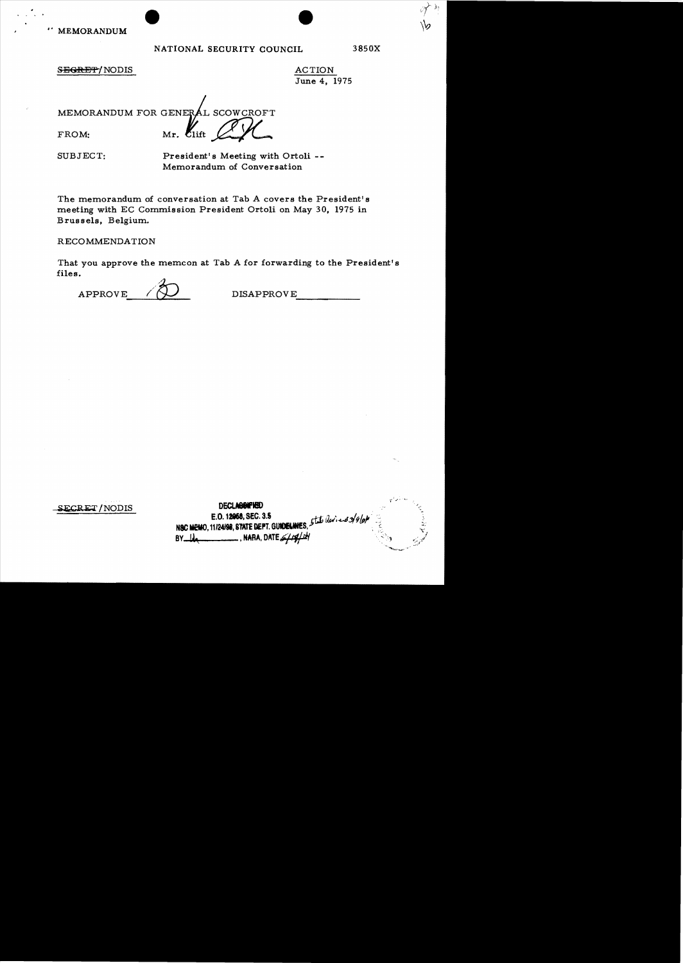# NATIONAL SECURITY COUNCIL 3850X

),'

# SEGRET/NODIS ACTION

June 4, 1975

 $MEMORANDUM FOR GENERAL SCOWCROFT$ FROM: Mr.  $\ell_{\text{lift}}$   $\cancel{C\chi}$ 

SUBJECT: President's Meeting with Ortoli - Memorandum of Conversation

The memorandum of conversation at Tab A covers the President's meeting with EC Commission President Ortoli on May 30, 1975 in Brussels, Belgium.

RECOMMENDATION

That you approve the memcon at Tab A for forwarding to the President's files.

APPROVE  $\bigwedge$  DISAPPROVE

SECRET/NODIS

DECLASSIFIED E.O. 12068, SEC. 3.5<br>11/24/08 STATE DEPT GINERALISES 5tate (levi-end 3/9/0) N&C MEMO, 11/24/98, STATE DEPT. GUIDIELA  $BY$  $\blacksquare$ , NARA, DATE $\mathscr{L}$